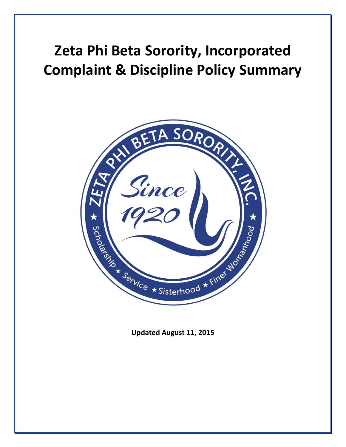# **Zeta Phi Beta Sorority, Incorporated Complaint & Discipline Policy Summary**



**Updated August 11, 2015**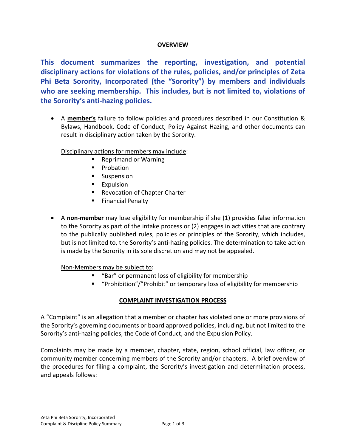## **OVERVIEW**

**This document summarizes the reporting, investigation, and potential disciplinary actions for violations of the rules, policies, and/or principles of Zeta Phi Beta Sorority, Incorporated (the "Sorority") by members and individuals who are seeking membership. This includes, but is not limited to, violations of the Sorority's anti-hazing policies.**

 A **member's** failure to follow policies and procedures described in our Constitution & Bylaws, Handbook, Code of Conduct, Policy Against Hazing, and other documents can result in disciplinary action taken by the Sorority.

Disciplinary actions for members may include:

- Reprimand or Warning
- **Probation**
- **Suspension**
- **Expulsion**
- **Revocation of Chapter Charter**
- **Financial Penalty**
- A **non-member** may lose eligibility for membership if she (1) provides false information to the Sorority as part of the intake process or (2) engages in activities that are contrary to the publically published rules, policies or principles of the Sorority, which includes, but is not limited to, the Sorority's anti-hazing policies. The determination to take action is made by the Sorority in its sole discretion and may not be appealed.

Non-Members may be subject to:

- "Bar" or permanent loss of eligibility for membership
- "Prohibition"/"Prohibit" or temporary loss of eligibility for membership

## **COMPLAINT INVESTIGATION PROCESS**

A "Complaint" is an allegation that a member or chapter has violated one or more provisions of the Sorority's governing documents or board approved policies, including, but not limited to the Sorority's anti-hazing policies, the Code of Conduct, and the Expulsion Policy.

Complaints may be made by a member, chapter, state, region, school official, law officer, or community member concerning members of the Sorority and/or chapters. A brief overview of the procedures for filing a complaint, the Sorority's investigation and determination process, and appeals follows: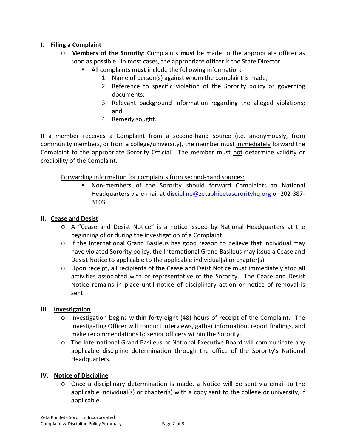# **I. Filing a Complaint**

- o **Members of the Sorority**: Complaints **must** be made to the appropriate officer as soon as possible. In most cases, the appropriate officer is the State Director.
	- All complaints **must** include the following information:
		- 1. Name of person(s) against whom the complaint is made;
		- 2. Reference to specific violation of the Sorority policy or governing documents;
		- 3. Relevant background information regarding the alleged violations; and
		- 4. Remedy sought.

If a member receives a Complaint from a second-hand source (i.e. anonymously, from community members, or from a college/university), the member must immediately forward the Complaint to the appropriate Sorority Official. The member must not determine validity or credibility of the Complaint.

Forwarding information for complaints from second-hand sources:

 Non-members of the Sorority should forward Complaints to National Headquarters via e-mail at discipline@zetaphibetasororityhq.org or 202-387- 3103.

## **II. Cease and Desist**

- o A "Cease and Desist Notice" is a notice issued by National Headquarters at the beginning of or during the investigation of a Complaint.
- o If the International Grand Basileus has good reason to believe that individual may have violated Sorority policy, the International Grand Basileus may issue a Cease and Desist Notice to applicable to the applicable individual(s) or chapter(s).
- o Upon receipt, all recipients of the Cease and Deist Notice must immediately stop all activities associated with or representative of the Sorority. The Cease and Desist Notice remains in place until notice of disciplinary action or notice of removal is sent.

## **III. Investigation**

- o Investigation begins within forty-eight (48) hours of receipt of the Complaint. The Investigating Officer will conduct interviews, gather information, report findings, and make recommendations to senior officers within the Sorority.
- o The International Grand Basileus or National Executive Board will communicate any applicable discipline determination through the office of the Sorority's National Headquarters.

## **IV. Notice of Discipline**

o Once a disciplinary determination is made, a Notice will be sent via email to the applicable individual(s) or chapter(s) with a copy sent to the college or university, if applicable.